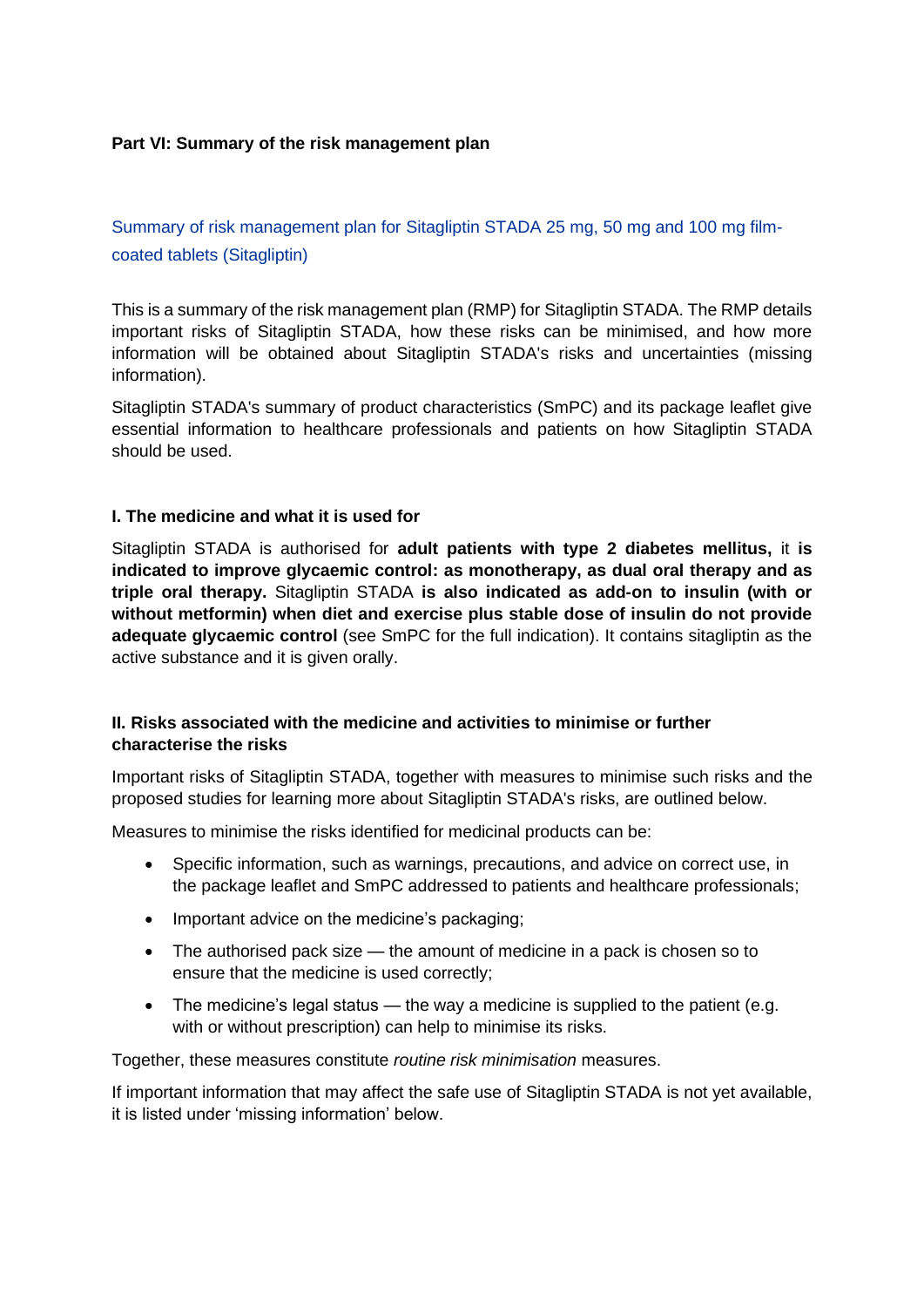### **Part VI: Summary of the risk management plan**

Summary of risk management plan for Sitagliptin STADA 25 mg, 50 mg and 100 mg filmcoated tablets (Sitagliptin)

This is a summary of the risk management plan (RMP) for Sitagliptin STADA. The RMP details important risks of Sitagliptin STADA, how these risks can be minimised, and how more information will be obtained about Sitagliptin STADA's risks and uncertainties (missing information).

Sitagliptin STADA's summary of product characteristics (SmPC) and its package leaflet give essential information to healthcare professionals and patients on how Sitagliptin STADA should be used.

#### **I. The medicine and what it is used for**

Sitagliptin STADA is authorised for **adult patients with type 2 diabetes mellitus,** it **is indicated to improve glycaemic control: as monotherapy, as dual oral therapy and as triple oral therapy.** Sitagliptin STADA **is also indicated as add-on to insulin (with or without metformin) when diet and exercise plus stable dose of insulin do not provide adequate glycaemic control** (see SmPC for the full indication). It contains sitagliptin as the active substance and it is given orally.

### **II. Risks associated with the medicine and activities to minimise or further characterise the risks**

Important risks of Sitagliptin STADA, together with measures to minimise such risks and the proposed studies for learning more about Sitagliptin STADA's risks, are outlined below.

Measures to minimise the risks identified for medicinal products can be:

- Specific information, such as warnings, precautions, and advice on correct use, in the package leaflet and SmPC addressed to patients and healthcare professionals;
- Important advice on the medicine's packaging:
- The authorised pack size the amount of medicine in a pack is chosen so to ensure that the medicine is used correctly;
- The medicine's legal status the way a medicine is supplied to the patient (e.g. with or without prescription) can help to minimise its risks.

Together, these measures constitute *routine risk minimisation* measures.

If important information that may affect the safe use of Sitagliptin STADA is not yet available, it is listed under 'missing information' below.